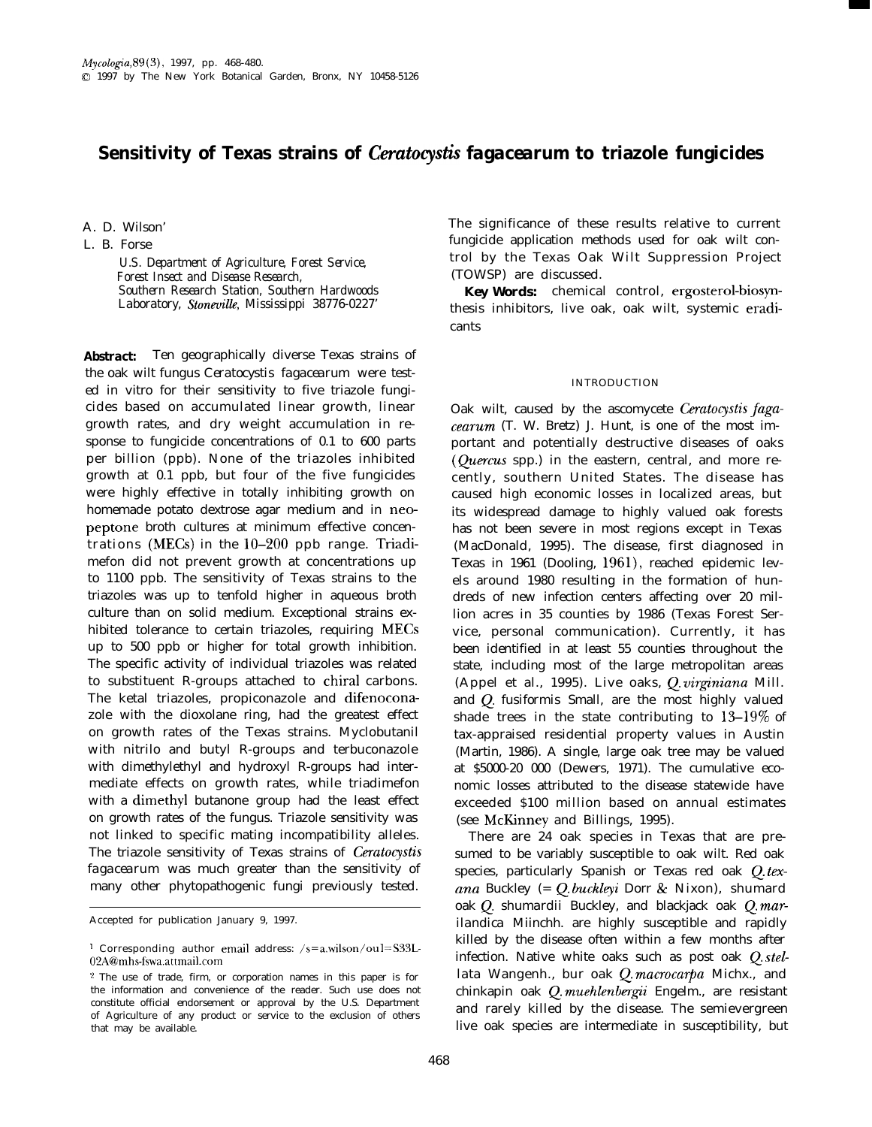# **Sensitivity of Texas strains of** *Ceratocysti fagacearum* **to triazole fungicides**

A. D. Wilson'

L. B. Forse

*U.S. Department of Agriculture, Forest Service, Forest Insect and Disease Research, Southern Research Station, Southern Hardwoods Laboratory, Stoneville, Mississippi 38776-0227'*

*Abstract:* Ten geographically diverse Texas strains of the oak wilt fungus *Ceratocystis fagacearum* were tested in vitro for their sensitivity to five triazole fungicides based on accumulated linear growth, linear growth rates, and dry weight accumulation in response to fungicide concentrations of 0.1 to 600 parts per billion (ppb). None of the triazoles inhibited growth at 0.1 ppb, but four of the five fungicides were highly effective in totally inhibiting growth on homemade potato dextrose agar medium and in neopeptone broth cultures at minimum effective concentrations (MECs) in the  $10-200$  ppb range. Triadimefon did not prevent growth at concentrations up to 1100 ppb. The sensitivity of Texas strains to the triazoles was up to tenfold higher in aqueous broth culture than on solid medium. Exceptional strains exhibited tolerance to certain triazoles, requiring MECs up to 500 ppb or higher for total growth inhibition. The specific activity of individual triazoles was related to substituent R-groups attached to chiral carbons. The ketal triazoles, propiconazole and difenoconazole with the dioxolane ring, had the greatest effect on growth rates of the Texas strains. Myclobutanil with nitrilo and butyl R-groups and terbuconazole with dimethylethyl and hydroxyl R-groups had intermediate effects on growth rates, while triadimefon with a dimethyl butanone group had the least effect on growth rates of the fungus. Triazole sensitivity was not linked to specific mating incompatibility alleles. The triazole sensitivity of Texas strains of *Cerutocystis fagacearum* was much greater than the sensitivity of many other phytopathogenic fungi previously tested.

The significance of these results relative to current fungicide application methods used for oak wilt control by the Texas Oak Wilt Suppression Project (TOWSP) are discussed.

*Key Words:* chemical control, ergosterol-biosynthesis inhibitors, live oak, oak wilt, systemic eradicants

### INTRODUCTION

Oak wilt, caused by the ascomycete *Ceratocystis fagacearum* (T. W. Bretz) J. Hunt, is one of the most important and potentially destructive diseases of oaks (*Ouercus* spp.) in the eastern, central, and more recently, southern United States. The disease has caused high economic losses in localized areas, but its widespread damage to highly valued oak forests has not been severe in most regions except in Texas (MacDonald, 1995). The disease, first diagnosed in Texas in 1961 (Dooling, 1961), reached epidemic levels around 1980 resulting in the formation of hundreds of new infection centers affecting over 20 million acres in 35 counties by 1986 (Texas Forest Service, personal communication). Currently, it has been identified in at least 55 counties throughout the state, including most of the large metropolitan areas (Appel et al., 1995). Live oaks, Q. *virginiana* Mill. and Q. *fusiformis* Small, are the most highly valued shade trees in the state contributing to  $13-19\%$  of tax-appraised residential property values in Austin (Martin, 1986). A single, large oak tree may be valued at \$5000-20 000 (Dewers, 1971). The cumulative economic losses attributed to the disease statewide have exceeded \$100 million based on annual estimates (see McKinney and Billings, 1995).

There are 24 oak species in Texas that are presumed to be variably susceptible to oak wilt. Red oak species, particularly Spanish or Texas red oak Q.tex*ana* Buckley (= Q. *buckleyi* Dorr & Nixon), shumard oak Q. *shumardii* Buckley, and blackjack oak Q. *marilandica* Miinchh. are highly susceptible and rapidly killed by the disease often within a few months after infection. Native white oaks such as post oak Q. *stellata* Wangenh., bur oak Q. *macrocarpa* Michx., and chinkapin oak Q. *muehlenbergii* Engelm., are resistant and rarely killed by the disease. The semievergreen live oak species are intermediate in susceptibility, but

Accepted for publication January 9, 1997.

<sup>&</sup>lt;sup>1</sup> Corresponding author email address:  $/s = a$ .wilson/oul=S33L-02A@mhs-fswa.attmail.com

<sup>2</sup> The use of trade, firm, or corporation names in this paper is for the information and convenience of the reader. Such use does not constitute official endorsement or approval by the U.S. Department of Agriculture of any product or service to the exclusion of others that may be available.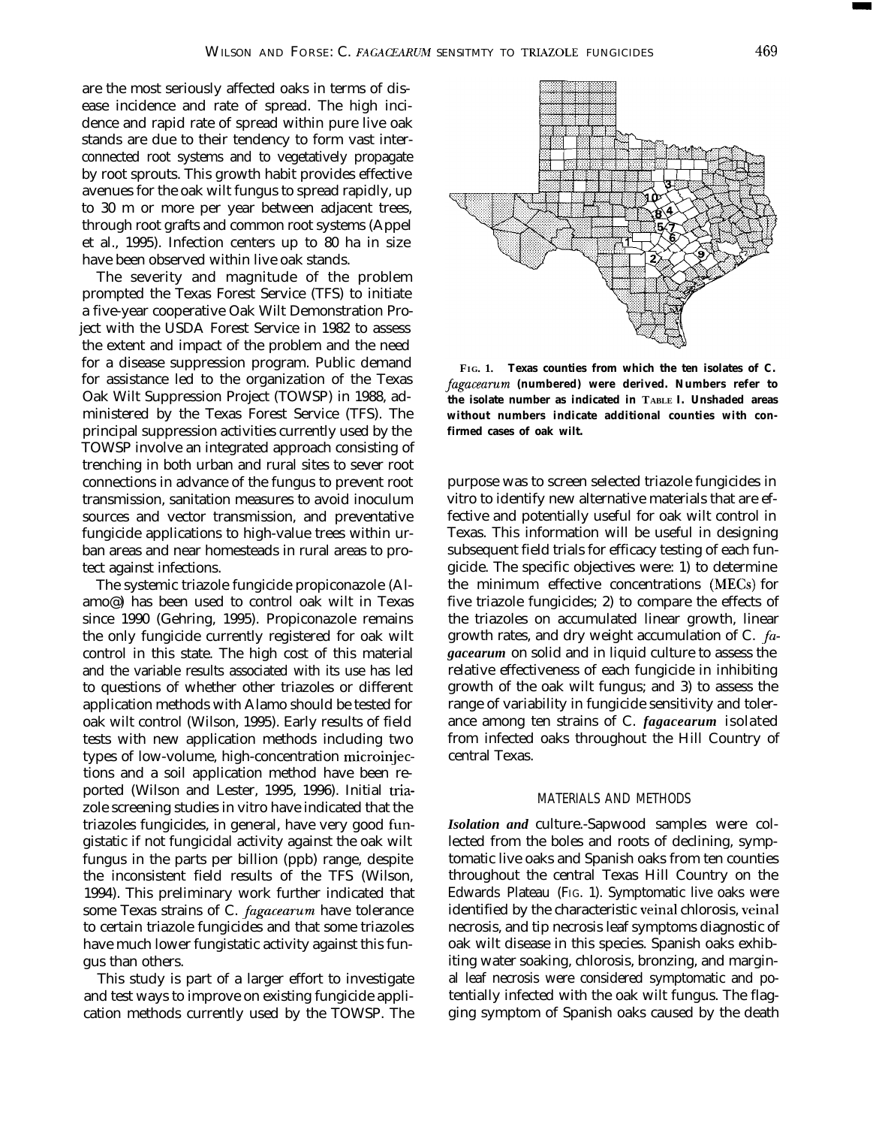are the most seriously affected oaks in terms of disease incidence and rate of spread. The high incidence and rapid rate of spread within pure live oak stands are due to their tendency to form vast interconnected root systems and to vegetatively propagate by root sprouts. This growth habit provides effective avenues for the oak wilt fungus to spread rapidly, up to 30 m or more per year between adjacent trees, through root grafts and common root systems (Appel et al., 1995). Infection centers up to 80 ha in size have been observed within live oak stands.

The severity and magnitude of the problem prompted the Texas Forest Service (TFS) to initiate a five-year cooperative Oak Wilt Demonstration Project with the USDA Forest Service in 1982 to assess the extent and impact of the problem and the need for a disease suppression program. Public demand for assistance led to the organization of the Texas Oak Wilt Suppression Project (TOWSP) in 1988, administered by the Texas Forest Service (TFS). The principal suppression activities currently used by the TOWSP involve an integrated approach consisting of trenching in both urban and rural sites to sever root connections in advance of the fungus to prevent root transmission, sanitation measures to avoid inoculum sources and vector transmission, and preventative fungicide applications to high-value trees within urban areas and near homesteads in rural areas to protect against infections.

The systemic triazole fungicide propiconazole (Alamo@) has been used to control oak wilt in Texas since 1990 (Gehring, 1995). Propiconazole remains the only fungicide currently registered for oak wilt control in this state. The high cost of this material and the variable results associated with its use has led to questions of whether other triazoles or different application methods with Alamo should be tested for oak wilt control (Wilson, 1995). Early results of field tests with new application methods including two types of low-volume, high-concentration microinjections and a soil application method have been reported (Wilson and Lester, 1995, 1996). Initial triazole screening studies in vitro have indicated that the triazoles fungicides, in general, have very good fungistatic if not fungicidal activity against the oak wilt fungus in the parts per billion (ppb) range, despite the inconsistent field results of the TFS (Wilson, 1994). This preliminary work further indicated that some Texas strains of C. *fagacearum* have tolerance to certain triazole fungicides and that some triazoles have much lower fungistatic activity against this fungus than others.

This study is part of a larger effort to investigate and test ways to improve on existing fungicide application methods currently used by the TOWSP. The



**FIG. 1. Texas counties from which the ten isolates of C. fuguceurum (numbered) were derived. Numbers refer to the isolate number as indicated in TABLE I. Unshaded areas without numbers indicate additional counties with confirmed cases of oak wilt.**

purpose was to screen selected triazole fungicides in vitro to identify new alternative materials that are effective and potentially useful for oak wilt control in Texas. This information will be useful in designing subsequent field trials for efficacy testing of each fungicide. The specific objectives were: 1) to determine the minimum effective concentrations (MECs) for five triazole fungicides; 2) to compare the effects of the triazoles on accumulated linear growth, linear growth rates, and dry weight accumulation of C. *fagacearum* on solid and in liquid culture to assess the relative effectiveness of each fungicide in inhibiting growth of the oak wilt fungus; and 3) to assess the range of variability in fungicide sensitivity and tolerance among ten strains of C. *fagacearum* isolated from infected oaks throughout the Hill Country of central Texas.

## MATERIALS AND METHODS

*Isolation and* culture.-Sapwood samples were collected from the boles and roots of declining, symptomatic live oaks and Spanish oaks from ten counties throughout the central Texas Hill Country on the Edwards Plateau (FIG. 1). Symptomatic live oaks were identified by the characteristic veinal chlorosis, veinal necrosis, and tip necrosis leaf symptoms diagnostic of oak wilt disease in this species. Spanish oaks exhibiting water soaking, chlorosis, bronzing, and marginal leaf necrosis were considered symptomatic and potentially infected with the oak wilt fungus. The flagging symptom of Spanish oaks caused by the death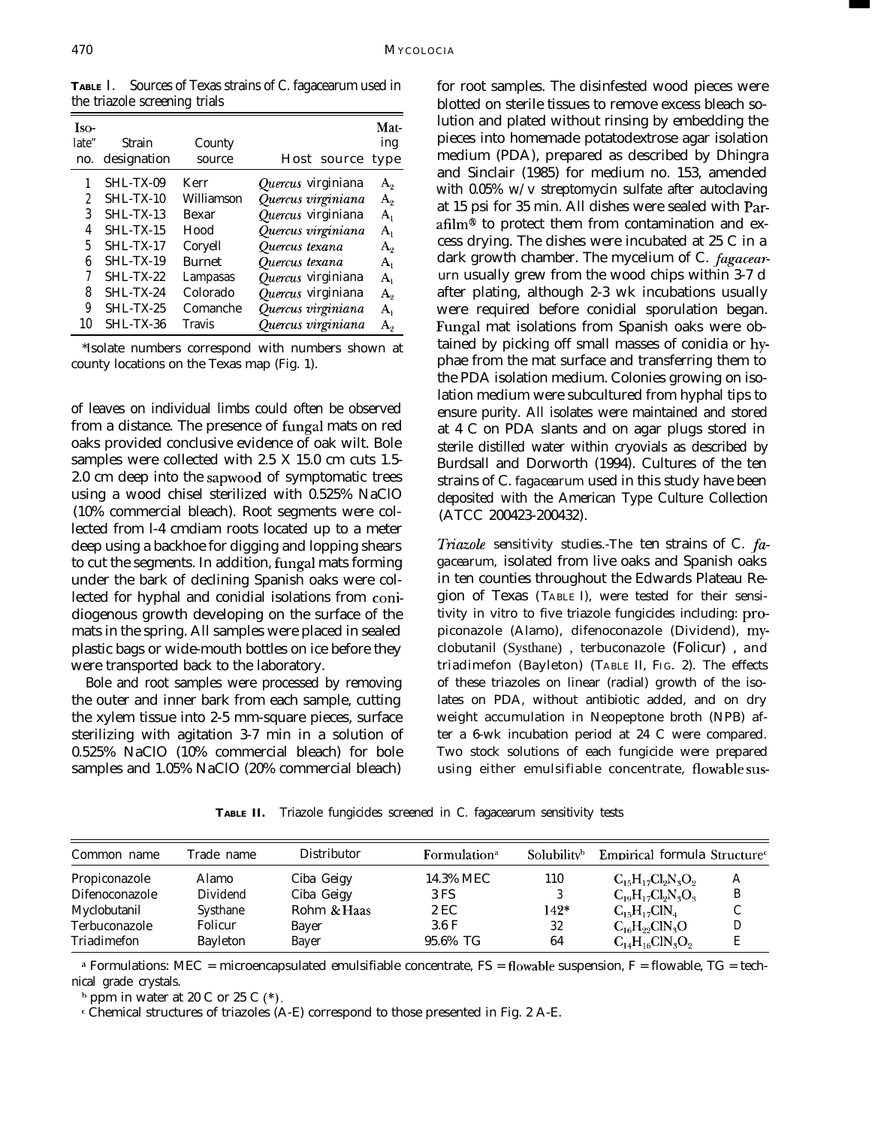**TABLE** I. Sources of Texas strains of C. fagacearum used in the triazole screening trials

| Iso-<br>late"<br>no.                  | Strain<br>designation                                                                                                                                | County<br>source                                                                                                     | Host source                                                                                                                                                                                                      | Mat-<br>ing<br>type                                                                     |
|---------------------------------------|------------------------------------------------------------------------------------------------------------------------------------------------------|----------------------------------------------------------------------------------------------------------------------|------------------------------------------------------------------------------------------------------------------------------------------------------------------------------------------------------------------|-----------------------------------------------------------------------------------------|
| 2<br>3<br>4<br>5<br>6<br>8<br>9<br>10 | SHL-TX-09<br>$SHL-TX-10$<br>$SHI - TX-13$<br>$SHL-TX-15$<br>$SHL-TX-17$<br>$SHL-TX-19$<br>$SHL-TX-22$<br>$SHI - TX-24$<br>$SHL-TX-25$<br>$SHL-TX-36$ | Kerr<br>Williamson<br><b>Bexar</b><br>Hood<br>Coryell<br><b>Burnet</b><br>Lampasas<br>Colorado<br>Comanche<br>Travis | Quercus virginiana<br>Quercus virginiana<br>Quercus virginiana<br>Quercus virginiana<br>Quercus texana<br>Quercus texana<br>Quercus virginiana<br>Quercus virginiana<br>Quercus virginiana<br>Quercus virginiana | А.,<br>$A_{2}$<br>$\mathbf{A}_1$<br>$A_1$<br>А.,<br>A,<br>$A_1$<br>А,<br>$A_{1}$<br>А., |

\*Isolate numbers correspond with numbers shown at county locations on the Texas map (Fig. 1).

of leaves on individual limbs could often be observed from a distance. The presence of fungal mats on red oaks provided conclusive evidence of oak wilt. Bole samples were collected with 2.5 X 15.0 cm cuts 1.5- 2.0 cm deep into the sapwood of symptomatic trees using a wood chisel sterilized with 0.525% NaClO (10% commercial bleach). Root segments were collected from l-4 cmdiam roots located up to a meter deep using a backhoe for digging and lopping shears to cut the segments. In addition, fungal mats forming under the bark of declining Spanish oaks were collected for hyphal and conidial isolations from conidiogenous growth developing on the surface of the mats in the spring. All samples were placed in sealed plastic bags or wide-mouth bottles on ice before they were transported back to the laboratory.

Bole and root samples were processed by removing the outer and inner bark from each sample, cutting the xylem tissue into 2-5 mm-square pieces, surface sterilizing with agitation 3-7 min in a solution of 0.525% NaClO (10% commercial bleach) for bole samples and 1.05% NaClO (20% commercial bleach)

for root samples. The disinfested wood pieces were blotted on sterile tissues to remove excess bleach solution and plated without rinsing by embedding the pieces into homemade potatodextrose agar isolation medium (PDA), prepared as described by Dhingra and Sinclair (1985) for medium no. 153, amended with 0.05% w/v streptomycin sulfate after autoclaving at 15 psi for 35 min. All dishes were sealed with Parafilm<sup>®</sup> to protect them from contamination and excess drying. The dishes were incubated at 25 C in a dark growth chamber. The mycelium of C. *fagacearurn* usually grew from the wood chips within 3-7 d after plating, although 2-3 wk incubations usually were required before conidial sporulation began. Fungal mat isolations from Spanish oaks were obtained by picking off small masses of conidia or hyphae from the mat surface and transferring them to the PDA isolation medium. Colonies growing on isolation medium were subcultured from hyphal tips to ensure purity. All isolates were maintained and stored at 4 C on PDA slants and on agar plugs stored in sterile distilled water within cryovials as described by Burdsall and Dorworth (1994). Cultures of the ten strains of C. *fagacearum* used in this study have been deposited with the American Type Culture Collection (ATCC 200423-200432).

*Triazole sensitivity studies. The ten strains of C. fagacearum,* isolated from live oaks and Spanish oaks in ten counties throughout the Edwards Plateau Region of Texas (TABLE I), were tested for their sensitivity in vitro to five triazole fungicides including: propiconazole (Alamo), difenoconazole (Dividend), myclobutanil (Systhane) , terbuconazole (Folicur) , and triadimefon (Bayleton) (TABLE II, FIG. 2). The effects of these triazoles on linear (radial) growth of the isolates on PDA, without antibiotic added, and on dry weight accumulation in Neopeptone broth (NPB) after a 6-wk incubation period at 24 C were compared. Two stock solutions of each fungicide were prepared using either emulsifiable concentrate, flowable sus-

**TABLE II.** Triazole fungicides screened in C. fagacearum sensitivity tests

| Common name    | Trade name      | Distributor | Formulation <sup>a</sup> | Solubility <sup>b</sup> | Empirical formula Structure <sup>c</sup> |   |
|----------------|-----------------|-------------|--------------------------|-------------------------|------------------------------------------|---|
| Propiconazole  | Alamo           | Ciba Geigy  | 14.3% MEC                | 110                     | $C_{15}H_{17}Cl_2N_3O_2$                 | А |
| Difenoconazole | Dividend        | Ciba Geigy  | 3 FS                     |                         | $C_{19}H_{17}Cl_2N_3O_3$                 | B |
| Myclobutanil   | Systhane        | Rohm & Haas | 2 EC                     | 142*                    | $C_{15}H_{17}CIN_4$                      |   |
| Terbuconazole  | Folicur         | Bayer       | $3.6 \text{ F}$          | 32                      | $C_{16}H_{99}CIN_8O$                     | D |
| Triadimefon    | <b>Bayleton</b> | Bayer       | 95.6% TG                 | 64                      | $C_{14}H_{16}CIN_3O_2$                   |   |

 $*$  Formulations: MEC = microencapsulated emulsifiable concentrate, FS = flowable suspension, F = flowable, TG = technical grade crystals.

 $h$  ppm in water at 20 C or 25 C  $(*)$ .

c Chemical structures of triazoles (A-E) correspond to those presented in Fig. 2 A-E.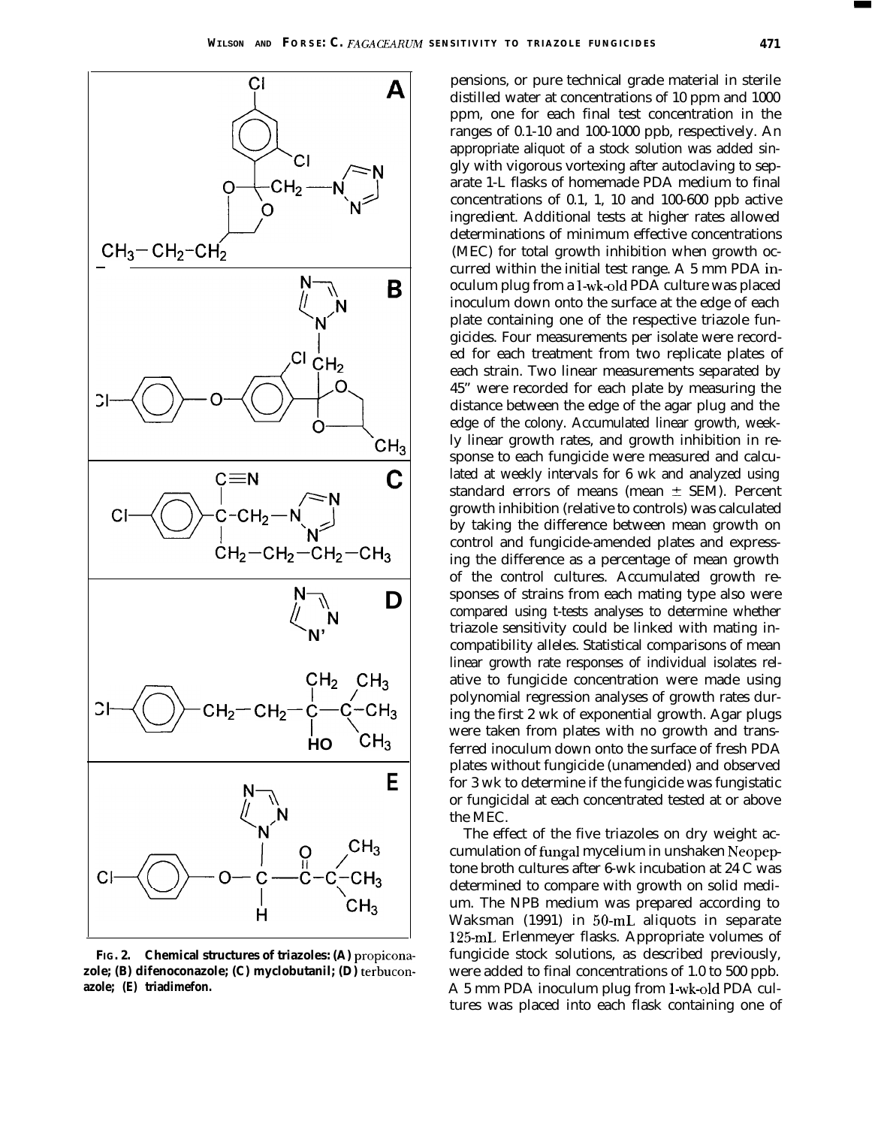



**FIG. 2. Chemical structures of triazoles: (A) propiconazole; (B) difenoconazole; (C) myclobutanil; (D) terbuconazole; (E) triadimefon.**

pensions, or pure technical grade material in sterile distilled water at concentrations of 10 ppm and 1000 ppm, one for each final test concentration in the ranges of 0.1-10 and 100-1000 ppb, respectively. An appropriate aliquot of a stock solution was added singly with vigorous vortexing after autoclaving to separate 1-L flasks of homemade PDA medium to final concentrations of 0.1, 1, 10 and 100-600 ppb active ingredient. Additional tests at higher rates allowed determinations of minimum effective concentrations (MEC) for total growth inhibition when growth occurred within the initial test range. A 5 mm PDA inoculum plug from a 1-wk-old PDA culture was placed inoculum down onto the surface at the edge of each plate containing one of the respective triazole fungicides. Four measurements per isolate were recorded for each treatment from two replicate plates of each strain. Two linear measurements separated by 45" were recorded for each plate by measuring the distance between the edge of the agar plug and the edge of the colony. Accumulated linear growth, weekly linear growth rates, and growth inhibition in response to each fungicide were measured and calculated at weekly intervals for 6 wk and analyzed using standard errors of means (mean  $\pm$  SEM). Percent growth inhibition (relative to controls) was calculated by taking the difference between mean growth on control and fungicide-amended plates and expressing the difference as a percentage of mean growth of the control cultures. Accumulated growth responses of strains from each mating type also were compared using t-tests analyses to determine whether triazole sensitivity could be linked with mating incompatibility alleles. Statistical comparisons of mean linear growth rate responses of individual isolates relative to fungicide concentration were made using polynomial regression analyses of growth rates during the first 2 wk of exponential growth. Agar plugs were taken from plates with no growth and transferred inoculum down onto the surface of fresh PDA plates without fungicide (unamended) and observed for 3 wk to determine if the fungicide was fungistatic or fungicidal at each concentrated tested at or above the MEC.

The effect of the five triazoles on dry weight accumulation of fungal mycelium in unshaken Neopeptone broth cultures after 6-wk incubation at 24 C was determined to compare with growth on solid medium. The NPB medium was prepared according to Waksman (1991) in 50-mL aliquots in separate 125-mL Erlenmeyer flasks. Appropriate volumes of fungicide stock solutions, as described previously, were added to final concentrations of 1.0 to 500 ppb. A 5 mm PDA inoculum plug from I-wk-old PDA cultures was placed into each flask containing one of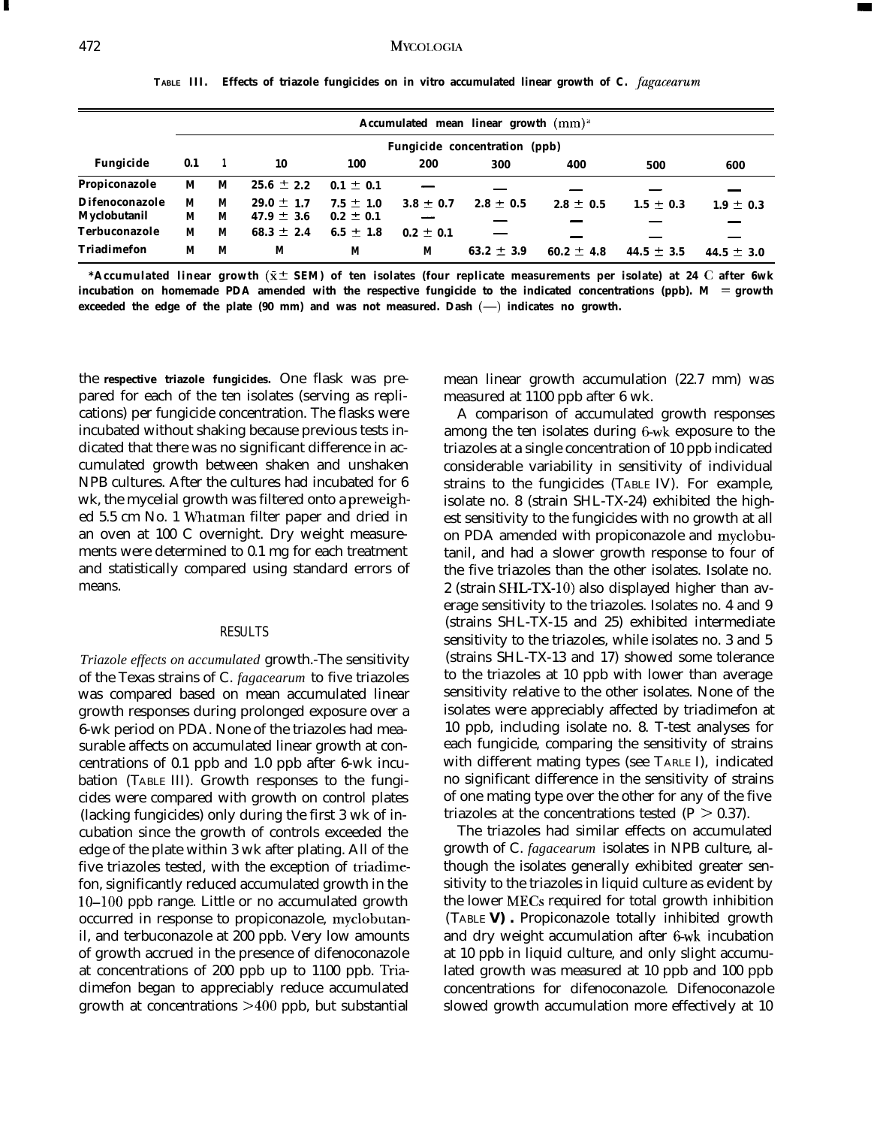|                                       |        |        |                                  |                                |               | Accumulated mean linear growth (mm) <sup>a</sup> |                |                |                |
|---------------------------------------|--------|--------|----------------------------------|--------------------------------|---------------|--------------------------------------------------|----------------|----------------|----------------|
|                                       |        |        |                                  |                                |               | Fungicide concentration (ppb)                    |                |                |                |
| Fungicide                             | 0.1    |        | 10                               | 100                            | 200           | 300                                              | 400            | 500            | 600            |
| Propiconazole                         | M      | М      | $25.6 \pm 2.2$                   | $0.1 \pm 0.1$                  |               |                                                  |                |                |                |
| <b>Difenoconazole</b><br>Myclobutanil | М<br>M | M<br>M | $29.0 \pm 1.7$<br>$47.9 \pm 3.6$ | $7.5 \pm 1.0$<br>$0.2 \pm 0.1$ | $3.8 \pm 0.7$ | $2.8 \pm 0.5$                                    | $2.8 \pm 0.5$  | $1.5 \pm 0.3$  | $1.9 \pm 0.3$  |
| Terbuconazole                         | M      | М      | $68.3 \pm 2.4$                   | 6.5 $\pm$ 1.8                  | $0.2 \pm 0.1$ |                                                  |                |                |                |
| <b>Triadimefon</b>                    | М      | М      | M                                | M                              | М             | 63.2 $\pm$ 3.9                                   | $60.2 \pm 4.8$ | 44.5 $\pm$ 3.5 | $44.5 \pm 3.0$ |

**TABLE III. Effects of triazole fungicides on in vitro accumulated linear growth of C.** *fugucearum*

**\*Accumulated linear growth (x -C SEM) of ten isolates (four replicate measurements per isolate) at 24 C after 6wk incubation on homemade PDA amended with the respective fungicide to the indicated concentrations (ppb). M = growth**  ${\bf e}x{\bf c}$ eeded the edge of the plate  $({\bf 90}$  mm) and was not measured. Dash  $(-)$  indicates no growth.

the **respective triazole fungicides.** One flask was prepared for each of the ten isolates (serving as replications) per fungicide concentration. The flasks were incubated without shaking because previous tests indicated that there was no significant difference in accumulated growth between shaken and unshaken NPB cultures. After the cultures had incubated for 6 wk, the mycelial growth was filtered onto a preweighed 5.5 cm No. 1 Whatman filter paper and dried in an oven at 100 C overnight. Dry weight measurements were determined to 0.1 mg for each treatment and statistically compared using standard errors of means.

## RESULTS

*Triazole effects on accumulated* growth.-The sensitivity of the Texas strains of C. *fagacearum* to five triazoles was compared based on mean accumulated linear growth responses during prolonged exposure over a 6-wk period on PDA. None of the triazoles had measurable affects on accumulated linear growth at concentrations of 0.1 ppb and 1.0 ppb after 6-wk incubation (TABLE III). Growth responses to the fungicides were compared with growth on control plates (lacking fungicides) only during the first 3 wk of incubation since the growth of controls exceeded the edge of the plate within 3 wk after plating. All of the five triazoles tested, with the exception of triadimefon, significantly reduced accumulated growth in the lo-100 ppb range. Little or no accumulated growth occurred in response to propiconazole, myclobutanil, and terbuconazole at 200 ppb. Very low amounts of growth accrued in the presence of difenoconazole at concentrations of 200 ppb up to 1100 ppb. Triadimefon began to appreciably reduce accumulated growth at concentrations >400 ppb, but substantial

mean linear growth accumulation (22.7 mm) was measured at 1100 ppb after 6 wk.

A comparison of accumulated growth responses among the ten isolates during 6-wk exposure to the triazoles at a single concentration of 10 ppb indicated considerable variability in sensitivity of individual strains to the fungicides (TABLE IV). For example, isolate no. 8 (strain SHL-TX-24) exhibited the highest sensitivity to the fungicides with no growth at all on PDA amended with propiconazole and myclobutanil, and had a slower growth response to four of the five triazoles than the other isolates. Isolate no. 2 (strain SHL-TX-10) also displayed higher than average sensitivity to the triazoles. Isolates no. 4 and 9 (strains SHL-TX-15 and 25) exhibited intermediate sensitivity to the triazoles, while isolates no. 3 and 5 (strains SHL-TX-13 and 17) showed some tolerance to the triazoles at 10 ppb with lower than average sensitivity relative to the other isolates. None of the isolates were appreciably affected by triadimefon at 10 ppb, including isolate no. 8. T-test analyses for each fungicide, comparing the sensitivity of strains with different mating types (see TARLE I), indicated no significant difference in the sensitivity of strains of one mating type over the other for any of the five triazoles at the concentrations tested ( $P > 0.37$ ).

The triazoles had similar effects on accumulated growth of C. *fagacearum* isolates in NPB culture, although the isolates generally exhibited greater sensitivity to the triazoles in liquid culture as evident by the lower MECs required for total growth inhibition (TABLE **V) .** Propiconazole totally inhibited growth and dry weight accumulation after 6-wk incubation at 10 ppb in liquid culture, and only slight accumulated growth was measured at 10 ppb and 100 ppb concentrations for difenoconazole. Difenoconazole slowed growth accumulation more effectively at 10

I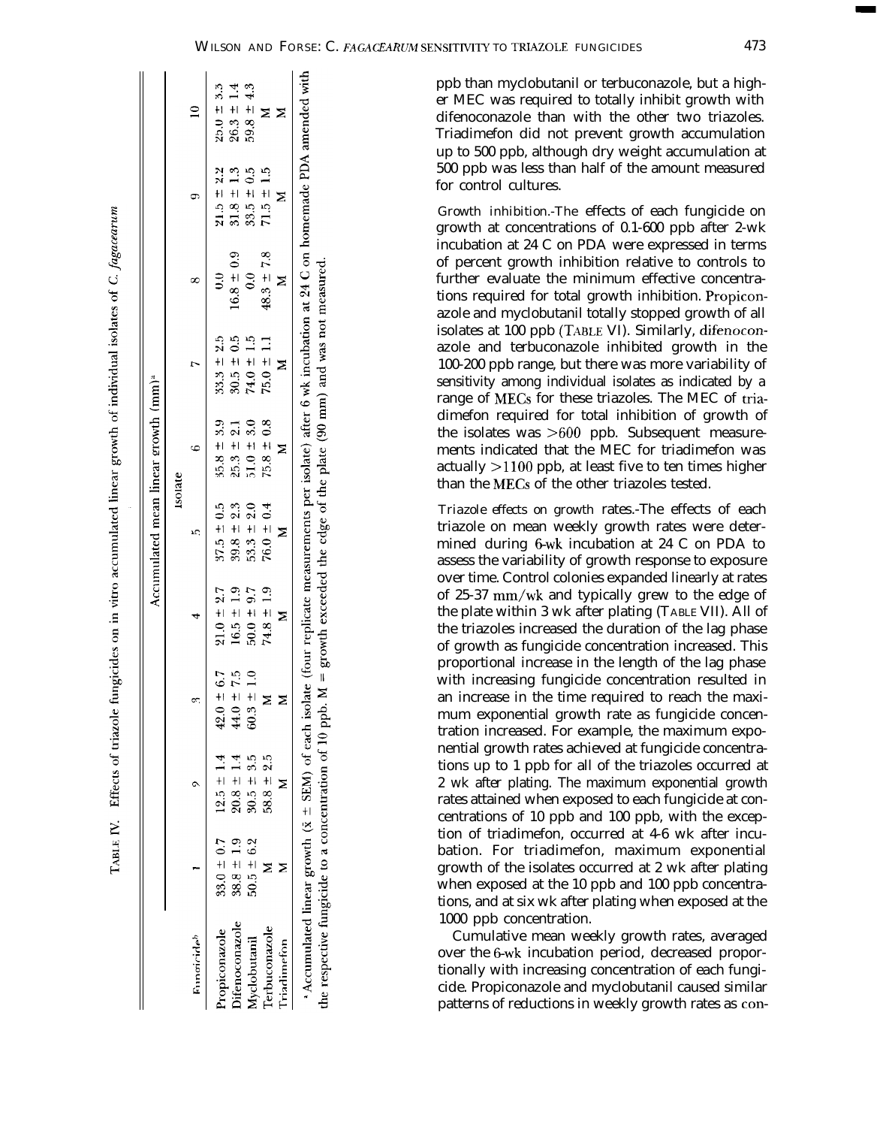$\overline{5}$ 

growth exceeded the edge of the plate (90 mm) and was not measured.

 $\mathbf{1}$ 

the respective fungicide to a concentration of 10 ppb. M

|                       |                |                |                |                |                | <b>Isolate</b> |                |                           |                |                |
|-----------------------|----------------|----------------|----------------|----------------|----------------|----------------|----------------|---------------------------|----------------|----------------|
| Fungicideb            |                |                | ß              | 4              | ١C,            |                | r              |                           |                |                |
| ropiconazole          | $33.0 \pm 0.7$ | $12.5 \pm 1.4$ | $42.0 \pm 6.7$ | $21.0 \pm 2.7$ | $37.5 \pm 0.5$ | $35.8 \pm 3.9$ | $33.3 \pm 2.5$ | ミ                         | $21.5 = 2.2$   | $25.0 \pm 3.3$ |
| <b>hitenoconazole</b> | $38.8 \pm 1.9$ | $20.8 \pm 1.4$ | $44.0 = 7.5$   | $16.5 \pm 1.9$ | $39.8 \pm 2.3$ | $25.3 \pm 2.1$ | $30.5 \pm 0.5$ | $16.8 \pm 0.9$            | $31.8 \pm 1.3$ | $26.3 \pm 1.4$ |
| <b>Ayclobutanil</b>   | $50.5 \pm 6.2$ | $30.5 \pm 3.5$ | $60.3 \pm 1.0$ | $50.0 \pm 9.7$ | $53.3 \pm 2.0$ | $51.0 \pm 3.0$ | $74.0 \pm 1.5$ | $\mathbf{e}^{\mathbf{e}}$ | $33.5 \pm 0.5$ | $59.8 \pm 4.3$ |
| Terbuconazole         |                | $58.8 \pm 2.5$ |                | $74.8 \pm 1.9$ | $76.0 \pm 0.4$ | $75.8 \pm 0.8$ | $75.0 \pm 1.1$ | $48.3 \pm 7.8$            | $71.5 \pm 1.5$ | Σ              |
| Triadimefon           |                |                | Σ              | ⋝              |                |                | Σ              |                           |                | ⊠              |

TABLE IV. Effects of triazole fungicides on in vitro accumulated linear growth of individual isolates of C. fagacearum

 $\begin{array}{c} \hline \end{array}$ 

 $\mathbf{I}$ 

ppb than myclobutanil or terbuconazole, but a higher MEC was required to totally inhibit growth with difenoconazole than with the other two triazoles. Triadimefon did not prevent growth accumulation up to 500 ppb, although dry weight accumulation at 500 ppb was less than half of the amount measured for control cultures.

*Growth inhibition.-The* effects of each fungicide on growth at concentrations of 0.1-600 ppb after 2-wk incubation at 24 C on PDA were expressed in terms of percent growth inhibition relative to controls to further evaluate the minimum effective concentrations required for total growth inhibition. Propiconazole and myclobutanil totally stopped growth of all isolates at 100 ppb (TABLE VI). Similarly, difenoconazole and terbuconazole inhibited growth in the 100-200 ppb range, but there was more variability of sensitivity among individual isolates as indicated by a range of MECs for these triazoles. The MEC of triadimefon required for total inhibition of growth of the isolates was >600 ppb. Subsequent measurements indicated that the MEC for triadimefon was actually  $>$ 1100 ppb, at least five to ten times higher than the MECs of the other triazoles tested.

*Triazole effects on growth* rates.-The effects of each triazole on mean weekly growth rates were determined during 6-wk incubation at 24 C on PDA to assess the variability of growth response to exposure over time. Control colonies expanded linearly at rates of 25-37 mm/wk and typically grew to the edge of the plate within 3 wk after plating (TABLE VII). All of the triazoles increased the duration of the lag phase of growth as fungicide concentration increased. This proportional increase in the length of the lag phase with increasing fungicide concentration resulted in an increase in the time required to reach the maximum exponential growth rate as fungicide concentration increased. For example, the maximum exponential growth rates achieved at fungicide concentrations up to 1 ppb for all of the triazoles occurred at 2 wk after plating. The maximum exponential growth rates attained when exposed to each fungicide at concentrations of 10 ppb and 100 ppb, with the exception of triadimefon, occurred at 4-6 wk after incubation. For triadimefon, maximum exponential growth of the isolates occurred at 2 wk after plating when exposed at the 10 ppb and 100 ppb concentrations, and at six wk after plating when exposed at the 1000 ppb concentration.

Cumulative mean weekly growth rates, averaged over the 6-wk incubation period, decreased proportionally with increasing concentration of each fungicide. Propiconazole and myclobutanil caused similar patterns of reductions in weekly growth rates as con-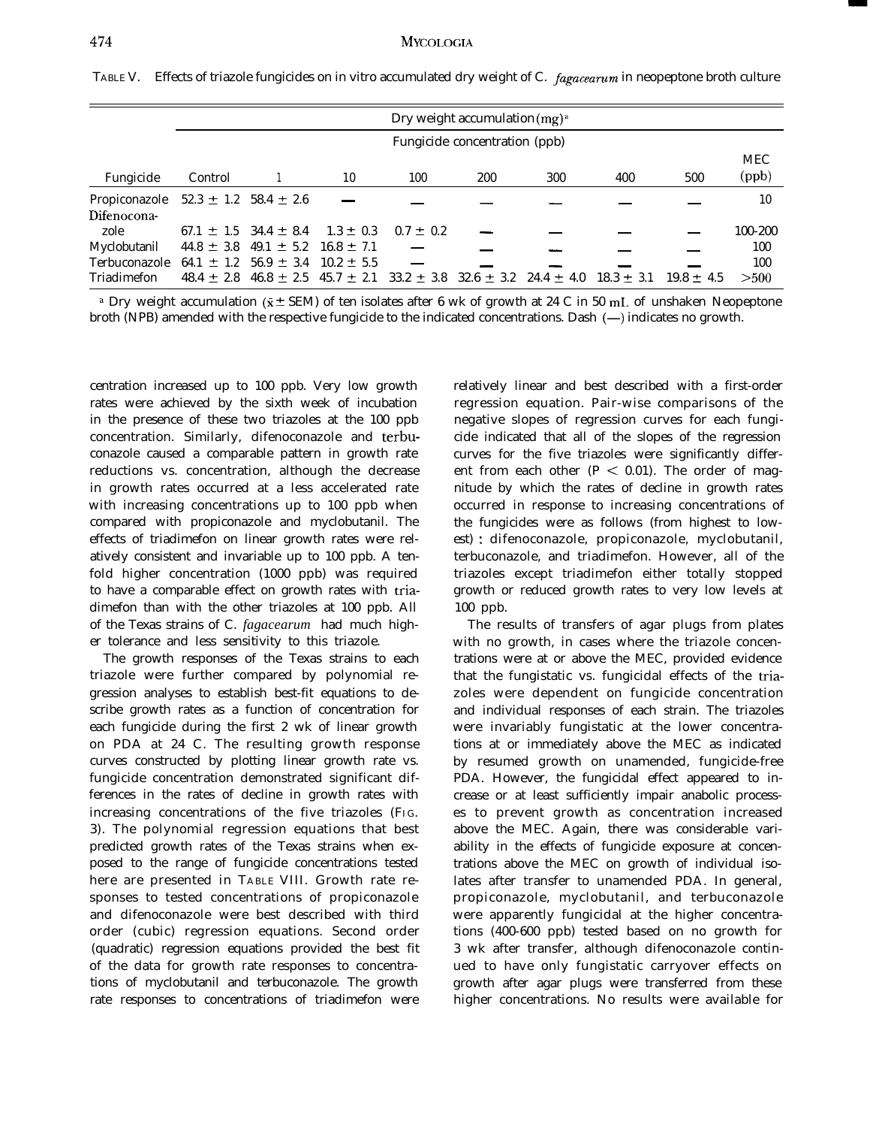|  | TABLE V. Effects of triazole fungicides on in vitro accumulated dry weight of C. <i>fagacearum</i> in neopeptone broth culture |
|--|--------------------------------------------------------------------------------------------------------------------------------|
|  |                                                                                                                                |

|                                             |                |                               |                |                                                                            | Dry weight accumulation $(mg)^a$ |     |                |                |            |
|---------------------------------------------|----------------|-------------------------------|----------------|----------------------------------------------------------------------------|----------------------------------|-----|----------------|----------------|------------|
|                                             |                |                               |                |                                                                            | Fungicide concentration (ppb)    |     |                |                |            |
|                                             |                |                               |                |                                                                            |                                  |     |                |                | <b>MEC</b> |
| Fungicide                                   | Control        |                               | 10             | 100                                                                        | 200                              | 300 | 400            | 500            | (ppb)      |
| Propiconazole 52.3 $\pm$ 1.2 58.4 $\pm$ 2.6 |                |                               |                |                                                                            |                                  |     |                |                | 10         |
| Difenocona-                                 |                |                               |                |                                                                            |                                  |     |                |                |            |
| zole                                        |                | 67.1 $\pm$ 1.5 34.4 $\pm$ 8.4 | $1.3 \pm 0.3$  | $0.7 \pm 0.2$                                                              |                                  |     |                |                | 100-200    |
| Myclobutanil                                |                | $44.8 \pm 3.8$ $49.1 \pm 5.2$ | $16.8 \pm 7.1$ |                                                                            |                                  |     |                |                | 100        |
| Terbuconazole                               | 64.1 $\pm$ 1.2 | $56.9 \pm 3.4$                | $10.2 \pm 5.5$ |                                                                            |                                  |     |                |                | 100        |
| Triadimefon                                 | $48.4 + 2.8$   |                               |                | $46.8 \pm 2.5$ $45.7 \pm 2.1$ $33.2 \pm 3.8$ $32.6 \pm 3.2$ $24.4 \pm 4.0$ |                                  |     | $18.3 \pm 3.1$ | $19.8 \pm 4.5$ | >500       |

<sup>a</sup> Dry weight accumulation ( $\bar{x}$  ± SEM) of ten isolates after 6 wk of growth at 24 C in 50 mL of unshaken Neopeptone broth (NPB) amended with the respective fungicide to the indicated concentrations. Dash (-) indicates no growth.

centration increased up to 100 ppb. Very low growth rates were achieved by the sixth week of incubation in the presence of these two triazoles at the 100 ppb concentration. Similarly, difenoconazole and terbuconazole caused a comparable pattern in growth rate reductions vs. concentration, although the decrease in growth rates occurred at a less accelerated rate with increasing concentrations up to 100 ppb when compared with propiconazole and myclobutanil. The effects of triadimefon on linear growth rates were relatively consistent and invariable up to 100 ppb. A tenfold higher concentration (1000 ppb) was required to have a comparable effect on growth rates with triadimefon than with the other triazoles at 100 ppb. All of the Texas strains of C. *fagacearum* had much higher tolerance and less sensitivity to this triazole.

The growth responses of the Texas strains to each triazole were further compared by polynomial regression analyses to establish best-fit equations to describe growth rates as a function of concentration for each fungicide during the first 2 wk of linear growth on PDA at 24 C. The resulting growth response curves constructed by plotting linear growth rate vs. fungicide concentration demonstrated significant differences in the rates of decline in growth rates with increasing concentrations of the five triazoles (FIG. 3). The polynomial regression equations that best predicted growth rates of the Texas strains when exposed to the range of fungicide concentrations tested here are presented in TABLE VIII. Growth rate responses to tested concentrations of propiconazole and difenoconazole were best described with third order (cubic) regression equations. Second order (quadratic) regression equations provided the best fit of the data for growth rate responses to concentrations of myclobutanil and terbuconazole. The growth rate responses to concentrations of triadimefon were

relatively linear and best described with a first-order regression equation. Pair-wise comparisons of the negative slopes of regression curves for each fungicide indicated that all of the slopes of the regression curves for the five triazoles were significantly different from each other ( $P < 0.01$ ). The order of magnitude by which the rates of decline in growth rates occurred in response to increasing concentrations of the fungicides were as follows (from highest to lowest) : difenoconazole, propiconazole, myclobutanil, terbuconazole, and triadimefon. However, all of the triazoles except triadimefon either totally stopped growth or reduced growth rates to very low levels at 100 ppb.

The results of transfers of agar plugs from plates with no growth, in cases where the triazole concentrations were at or above the MEC, provided evidence that the fungistatic vs. fungicidal effects of the triazoles were dependent on fungicide concentration and individual responses of each strain. The triazoles were invariably fungistatic at the lower concentrations at or immediately above the MEC as indicated by resumed growth on unamended, fungicide-free PDA. However, the fungicidal effect appeared to increase or at least sufficiently impair anabolic processes to prevent growth as concentration increased above the MEC. Again, there was considerable variability in the effects of fungicide exposure at concentrations above the MEC on growth of individual isolates after transfer to unamended PDA. In general, propiconazole, myclobutanil, and terbuconazole were apparently fungicidal at the higher concentrations (400-600 ppb) tested based on no growth for 3 wk after transfer, although difenoconazole continued to have only fungistatic carryover effects on growth after agar plugs were transferred from these higher concentrations. No results were available for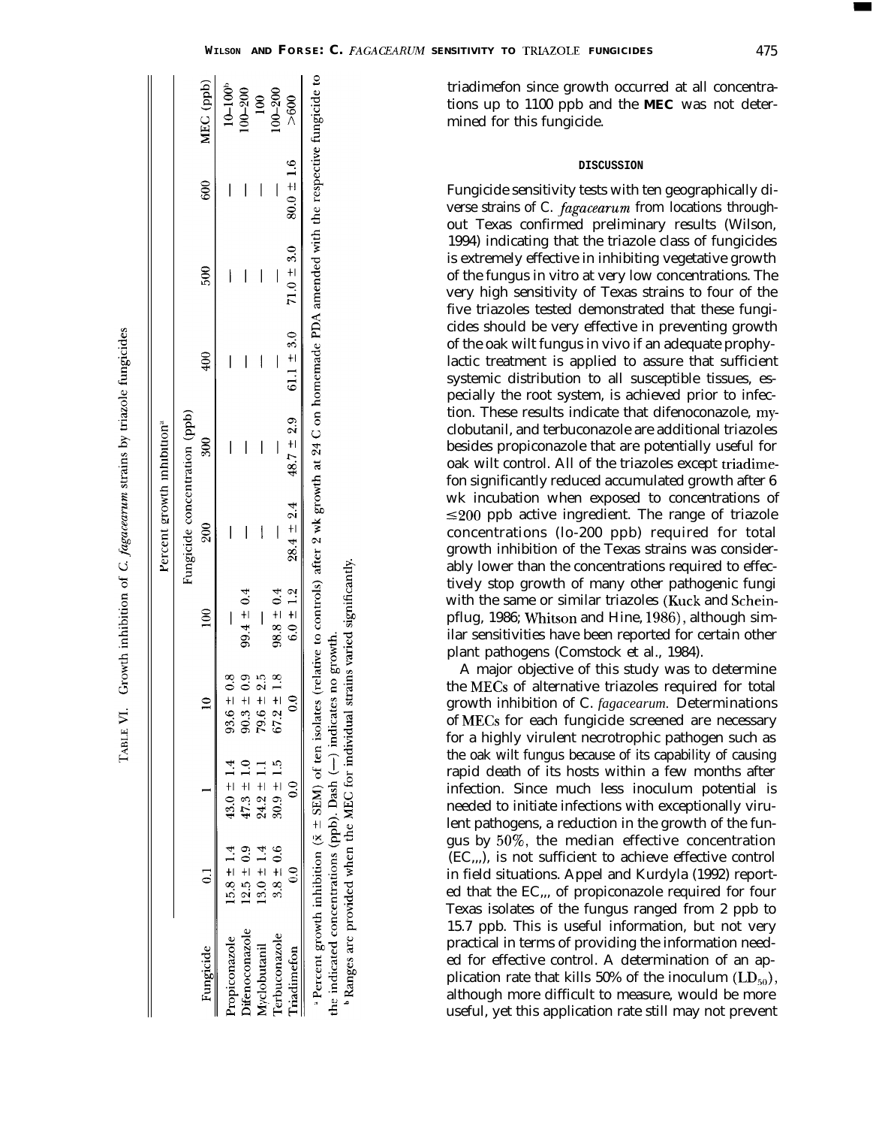|                     |                  |                                                                                                                                                                           |                |                | Fungicide concentration (ppb)                                             |                   |                 |               |                |                         |
|---------------------|------------------|---------------------------------------------------------------------------------------------------------------------------------------------------------------------------|----------------|----------------|---------------------------------------------------------------------------|-------------------|-----------------|---------------|----------------|-------------------------|
| Fungicide           |                  |                                                                                                                                                                           |                | $\frac{8}{10}$ | 200                                                                       | $\frac{300}{500}$ | $\frac{400}{5}$ | $\frac{8}{2}$ | 600            | MEC (ppb)               |
| opiconazole         | $15.8 \pm 1.4$   | $43.0 \pm 1.4$                                                                                                                                                            | $93.6 \pm 0.8$ |                |                                                                           |                   |                 |               |                | $10 - 100$ <sup>b</sup> |
| tenoconazole        | $12.5 \pm 0.9$   | $47.3 \pm 1.0$                                                                                                                                                            | $90.3 \pm 0.9$ | $99.4 \pm 0.4$ |                                                                           | I                 |                 |               |                | $100 - 200$             |
| <b>Iyclobutanil</b> | $13.0 \pm 1.4$   | $24.2 \pm 1.1$                                                                                                                                                            | $79.6 \pm 2.5$ |                | I                                                                         | I                 |                 |               |                | $\frac{8}{1}$           |
| erbuconazole        | $3.8 \pm 0.6$    | $30.9 \pm 1.5$                                                                                                                                                            | $67.2 \pm 1.8$ | $98.8 \pm 0.4$ |                                                                           |                   |                 |               |                | $100 - 200$             |
| riadimeton          | $\hat{\epsilon}$ | $\hat{\epsilon}$                                                                                                                                                          |                |                | $6.0 \pm 1.2$ $28.4 \pm 2.4$ $48.7 \pm 2.9$ $61.1 \pm 3.0$ $71.0 \pm 3.0$ |                   |                 |               | $80.0 \pm 1.6$ | >600                    |
|                     |                  | *Percent growth inhibition ( $\bar{x} \pm$ SEM) of ten isolates (relative to controls) after 2 wk growth at 24 C on homemade PDA amended with the respective fungicide to |                |                |                                                                           |                   |                 |               |                |                         |

the indicated concentrations (ppb). Dash (--) indicates no growth.

Ranges are provided when the MEC for individual strains varied significantly.

triadimefon since growth occurred at all concentrations up to 1100 ppb and the **MEC** was not determined for this fungicide.

#### **DISCUSSION**

Fungicide sensitivity tests with ten geographically diverse strains of C. *fugucearum* from locations throughout Texas confirmed preliminary results (Wilson, 1994) indicating that the triazole class of fungicides is extremely effective in inhibiting vegetative growth of the fungus in vitro at very low concentrations. The very high sensitivity of Texas strains to four of the five triazoles tested demonstrated that these fungicides should be very effective in preventing growth of the oak wilt fungus in vivo if an adequate prophylactic treatment is applied to assure that sufficient systemic distribution to all susceptible tissues, especially the root system, is achieved prior to infection. These results indicate that difenoconazole, myclobutanil, and terbuconazole are additional triazoles besides propiconazole that are potentially useful for oak wilt control. All of the triazoles except triadimefon significantly reduced accumulated growth after 6 wk incubation when exposed to concentrations of  $\leq$ 200 ppb active ingredient. The range of triazole concentrations (lo-200 ppb) required for total growth inhibition of the Texas strains was considerably lower than the concentrations required to effectively stop growth of many other pathogenic fungi with the same or similar triazoles (Kuck and Scheinpflug, 1986; Whitson and Hine, 1986), although similar sensitivities have been reported for certain other plant pathogens (Comstock et al., 1984).

A major objective of this study was to determine the MECs of alternative triazoles required for total growth inhibition of C. *fagacearum.* Determinations of MECs for each fungicide screened are necessary for a highly virulent necrotrophic pathogen such as the oak wilt fungus because of its capability of causing rapid death of its hosts within a few months after infection. Since much less inoculum potential is needed to initiate infections with exceptionally virulent pathogens, a reduction in the growth of the fungus by 50%, the median effective concentration (EC,,,), is not sufficient to achieve effective control in field situations. Appel and Kurdyla (1992) reported that the EC,,, of propiconazole required for four Texas isolates of the fungus ranged from 2 ppb to 15.7 ppb. This is useful information, but not very practical in terms of providing the information needed for effective control. A determination of an application rate that kills 50% of the inoculum  $(LD_{50})$ , although more difficult to measure, would be more useful, yet this application rate still may not prevent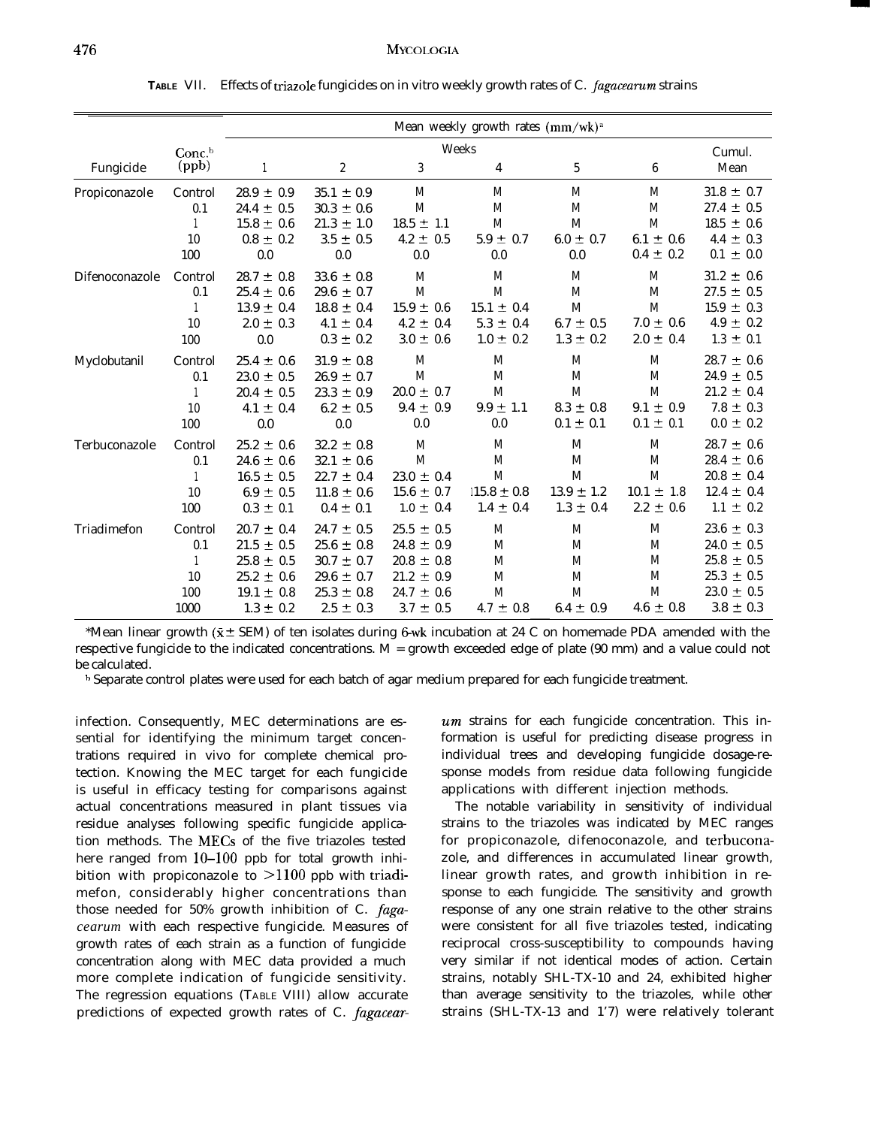|                |                   |                |                  |                | Mean weekly growth rates (mm/wk) <sup>a</sup> |                |                |                |
|----------------|-------------------|----------------|------------------|----------------|-----------------------------------------------|----------------|----------------|----------------|
|                | Conc <sup>b</sup> |                |                  | Weeks          |                                               |                |                | Cumul.         |
| Fungicide      | (ppb)             | $\mathbf{1}$   | $\boldsymbol{2}$ | 3              | 4                                             | 5              | 6              | Mean           |
| Propiconazole  | Control           | $28.9 \pm 0.9$ | $35.1 \pm 0.9$   | M              | M                                             | M              | M              | $31.8 \pm 0.7$ |
|                | 0.1               | $24.4 \pm 0.5$ | $30.3 \pm 0.6$   | M              | M                                             | M              | M              | $27.4 \pm 0.5$ |
|                |                   | $15.8 \pm 0.6$ | $21.3 \pm 1.0$   | $18.5 \pm 1.1$ | $\mathbf M$                                   | M              | $\mathbf M$    | $18.5 \pm 0.6$ |
|                | 10                | $0.8 \pm 0.2$  | $3.5 \pm 0.5$    | $4.2 \pm 0.5$  | $5.9 \pm 0.7$                                 | $6.0 \pm 0.7$  | $6.1 \pm 0.6$  | $4.4 \pm 0.3$  |
|                | 100               | 0.0            | 0.0              | 0.0            | 0.0                                           | 0.0            | $0.4 \pm 0.2$  | $0.1 \pm 0.0$  |
| Difenoconazole | Control           | $28.7 \pm 0.8$ | $33.6 \pm 0.8$   | M              | M                                             | M              | M              | $31.2 \pm 0.6$ |
|                | 0.1               | $25.4 \pm 0.6$ | $29.6 \pm 0.7$   | M              | M                                             | M              | M              | $27.5 \pm 0.5$ |
|                |                   | $13.9 \pm 0.4$ | $18.8 \pm 0.4$   | $15.9 \pm 0.6$ | $15.1 \pm 0.4$                                | M              | M              | $15.9 \pm 0.3$ |
|                | 10                | $2.0 \pm 0.3$  | $4.1 \pm 0.4$    | $4.2 \pm 0.4$  | $5.3 \pm 0.4$                                 | $6.7 \pm 0.5$  | $7.0 \pm 0.6$  | $4.9 \pm 0.2$  |
|                | 100               | 0.0            | $0.3 \pm 0.2$    | $3.0 \pm 0.6$  | $1.0 \pm 0.2$                                 | $1.3 \pm 0.2$  | $2.0 \pm 0.4$  | $1.3 \pm 0.1$  |
| Myclobutanil   | Control           | $25.4 \pm 0.6$ | $31.9 \pm 0.8$   | M              | M                                             | M              | M              | $28.7 \pm 0.6$ |
|                | 0.1               | $23.0 \pm 0.5$ | $26.9 \pm 0.7$   | M              | M                                             | M              | M              | $24.9 \pm 0.5$ |
|                |                   | $20.4 \pm 0.5$ | $23.3 \pm 0.9$   | $20.0 \pm 0.7$ | M                                             | M              | M              | $21.2 \pm 0.4$ |
|                | 10                | $4.1 \pm 0.4$  | $6.2 \pm 0.5$    | $9.4 \pm 0.9$  | $9.9 \pm 1.1$                                 | $8.3 \pm 0.8$  | $9.1 \pm 0.9$  | $7.8 \pm 0.3$  |
|                | 100               | 0.0            | 0.0              | 0.0            | 0.0                                           | $0.1 \pm 0.1$  | $0.1 \pm 0.1$  | $0.0 \pm 0.2$  |
| Terbuconazole  | Control           | $25.2 \pm 0.6$ | $32.2 \pm 0.8$   | M              | M                                             | M              | M              | $28.7 \pm 0.6$ |
|                | 0.1               | $24.6 \pm 0.6$ | $32.1 \pm 0.6$   | M              | M                                             | M              | M              | $28.4 \pm 0.6$ |
|                |                   | $16.5 \pm 0.5$ | $22.7 \pm 0.4$   | $23.0 \pm 0.4$ | M                                             | $\mathbf M$    | M              | $20.8 \pm 0.4$ |
|                | 10                | $6.9 \pm 0.5$  | $11.8 \pm 0.6$   | $15.6 \pm 0.7$ | $15.8 \pm 0.8$                                | $13.9 \pm 1.2$ | $10.1 \pm 1.8$ | $12.4 \pm 0.4$ |
|                | 100               | $0.3 \pm 0.1$  | $0.4 \pm 0.1$    | $1.0 \pm 0.4$  | $1.4 \pm 0.4$                                 | $1.3 \pm 0.4$  | $2.2 \pm 0.6$  | $1.1 \pm 0.2$  |
| Triadimefon    | Control           | $20.7 \pm 0.4$ | $24.7 \pm 0.5$   | $25.5 \pm 0.5$ | M                                             | M              | M              | $23.6 \pm 0.3$ |
|                | 0.1               | $21.5 \pm 0.5$ | $25.6 \pm 0.8$   | $24.8 \pm 0.9$ | M                                             | M              | M              | $24.0 \pm 0.5$ |
|                |                   | $25.8 \pm 0.5$ | $30.7 \pm 0.7$   | $20.8 \pm 0.8$ | M                                             | M              | M              | $25.8 \pm 0.5$ |
|                | 10                | $25.2 \pm 0.6$ | $29.6 \pm 0.7$   | $21.2 \pm 0.9$ | $\mathbf M$                                   | M              | M              | $25.3 \pm 0.5$ |
|                | 100               | $19.1 \pm 0.8$ | $25.3 \pm 0.8$   | $24.7 \pm 0.6$ | M                                             | M              | M              | $23.0 \pm 0.5$ |
|                | 1000              | $1.3 \pm 0.2$  | $2.5 \pm 0.3$    | $3.7 \pm 0.5$  | $4.7 \pm 0.8$                                 | $6.4 \pm 0.9$  | $4.6 \pm 0.8$  | $3.8 \pm 0.3$  |

TABLE VII. Effects of triazole fungicides on in vitro weekly growth rates of C. fagacearum strains

\*Mean linear growth ( $\bar{x}$  ± SEM) of ten isolates during 6-wk incubation at 24 C on homemade PDA amended with the respective fungicide to the indicated concentrations. M = growth exceeded edge of plate (90 mm) and a value could not be calculated.

h Separate control plates were used for each batch of agar medium prepared for each fungicide treatment.

infection. Consequently, MEC determinations are essential for identifying the minimum target concentrations required in vivo for complete chemical protection. Knowing the MEC target for each fungicide is useful in efficacy testing for comparisons against actual concentrations measured in plant tissues via residue analyses following specific fungicide application methods. The MECs of the five triazoles tested here ranged from  $10-100$  ppb for total growth inhibition with propiconazole to  $>1100$  ppb with triadimefon, considerably higher concentrations than those needed for 50% growth inhibition of C. *fagacearum* with each respective fungicide. Measures of growth rates of each strain as a function of fungicide concentration along with MEC data provided a much more complete indication of fungicide sensitivity. The regression equations (TABLE VIII) allow accurate predictions of expected growth rates of C. *fagacear-*  $um$  strains for each fungicide concentration. This information is useful for predicting disease progress in individual trees and developing fungicide dosage-response models from residue data following fungicide applications with different injection methods.

The notable variability in sensitivity of individual strains to the triazoles was indicated by MEC ranges for propiconazole, difenoconazole, and terbuconazole, and differences in accumulated linear growth, linear growth rates, and growth inhibition in response to each fungicide. The sensitivity and growth response of any one strain relative to the other strains were consistent for all five triazoles tested, indicating reciprocal cross-susceptibility to compounds having very similar if not identical modes of action. Certain strains, notably SHL-TX-10 and 24, exhibited higher than average sensitivity to the triazoles, while other strains (SHL-TX-13 and 1'7) were relatively tolerant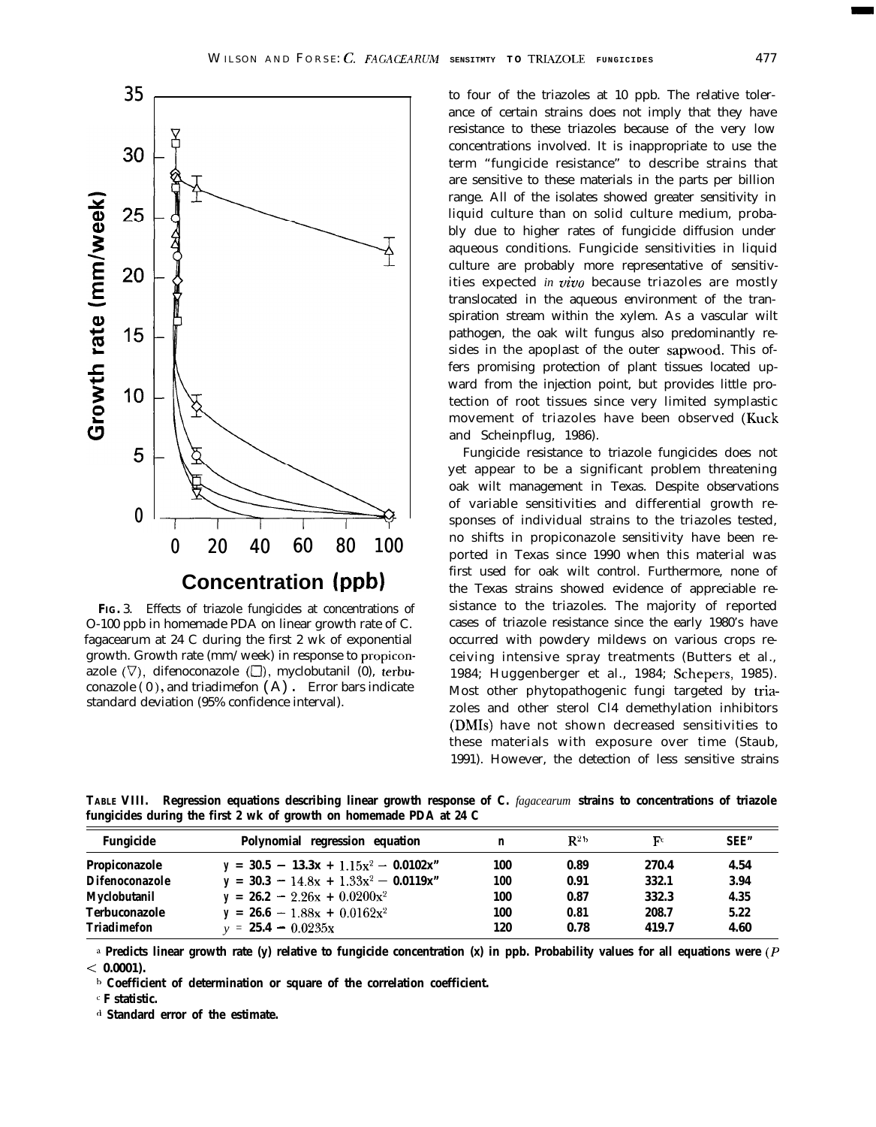

**FIG.** 3. Effects of triazole fungicides at concentrations of O-100 ppb in homemade PDA on linear growth rate of C. fagacearum at 24 C during the first 2 wk of exponential growth. Growth rate (mm/week) in response to propiconazole  $(\nabla)$ , difenoconazole  $(\Box)$ , myclobutanil (0), terbuconazole  $(0)$ , and triadimefon  $(A)$ . Error bars indicate standard deviation (95% confidence interval).

to four of the triazoles at 10 ppb. The relative tolerance of certain strains does not imply that they have resistance to these triazoles because of the very low concentrations involved. It is inappropriate to use the term "fungicide resistance" to describe strains that are sensitive to these materials in the parts per billion range. All of the isolates showed greater sensitivity in liquid culture than on solid culture medium, probably due to higher rates of fungicide diffusion under aqueous conditions. Fungicide sensitivities in liquid culture are probably more representative of sensitivities expected *in uiuo* because triazoles are mostly translocated in the aqueous environment of the transpiration stream within the xylem. As a vascular wilt pathogen, the oak wilt fungus also predominantly resides in the apoplast of the outer sapwood. This offers promising protection of plant tissues located upward from the injection point, but provides little protection of root tissues since very limited symplastic movement of triazoles have been observed (Kuck and Scheinpflug, 1986).

Fungicide resistance to triazole fungicides does not yet appear to be a significant problem threatening oak wilt management in Texas. Despite observations of variable sensitivities and differential growth responses of individual strains to the triazoles tested, no shifts in propiconazole sensitivity have been reported in Texas since 1990 when this material was first used for oak wilt control. Furthermore, none of the Texas strains showed evidence of appreciable resistance to the triazoles. The majority of reported cases of triazole resistance since the early 1980's have occurred with powdery mildews on various crops receiving intensive spray treatments (Butters et al., 1984; Huggenberger et al., 1984; Schepers, 1985). Most other phytopathogenic fungi targeted by triazoles and other sterol Cl4 demethylation inhibitors (DMIs) have not shown decreased sensitivities to these materials with exposure over time (Staub, 1991). However, the detection of less sensitive strains

**TABLE VIII. Regression equations describing linear growth response of C.** *fagacearum* **strains to concentrations of triazole fungicides during the first 2 wk of growth on homemade PDA at 24 C**

| Fungicide             | Polynomial regression equation           |     | $R^{2b}$ | Fс    | SEE" |
|-----------------------|------------------------------------------|-----|----------|-------|------|
| Propiconazole         | $y = 30.5 - 13.3x + 1.15x^2 - 0.0102x$ " | 100 | 0.89     | 270.4 | 4.54 |
| <b>Difenoconazole</b> | $y = 30.3 - 14.8x + 1.33x^2 - 0.0119x''$ | 100 | 0.91     | 332.1 | 3.94 |
| Myclobutanil          | $y = 26.2 - 2.26x + 0.0200x^2$           | 100 | 0.87     | 332.3 | 4.35 |
| <b>Terbuconazole</b>  | $y = 26.6 - 1.88x + 0.0162x^2$           | 100 | 0.81     | 208.7 | 5.22 |
| Triadimefon           | $v = 25.4 - 0.0235x$                     | 120 | 0.78     | 419.7 | 4.60 |

**d Predicts linear growth rate (y) relative to fungicide concentration (x) in ppb. Probability values for all equations were (P < 0.0001).**

**h Coefficient of determination or square of the correlation coefficient.**

<sup>c</sup> **F statistic.**

**d Standard error of the estimate.**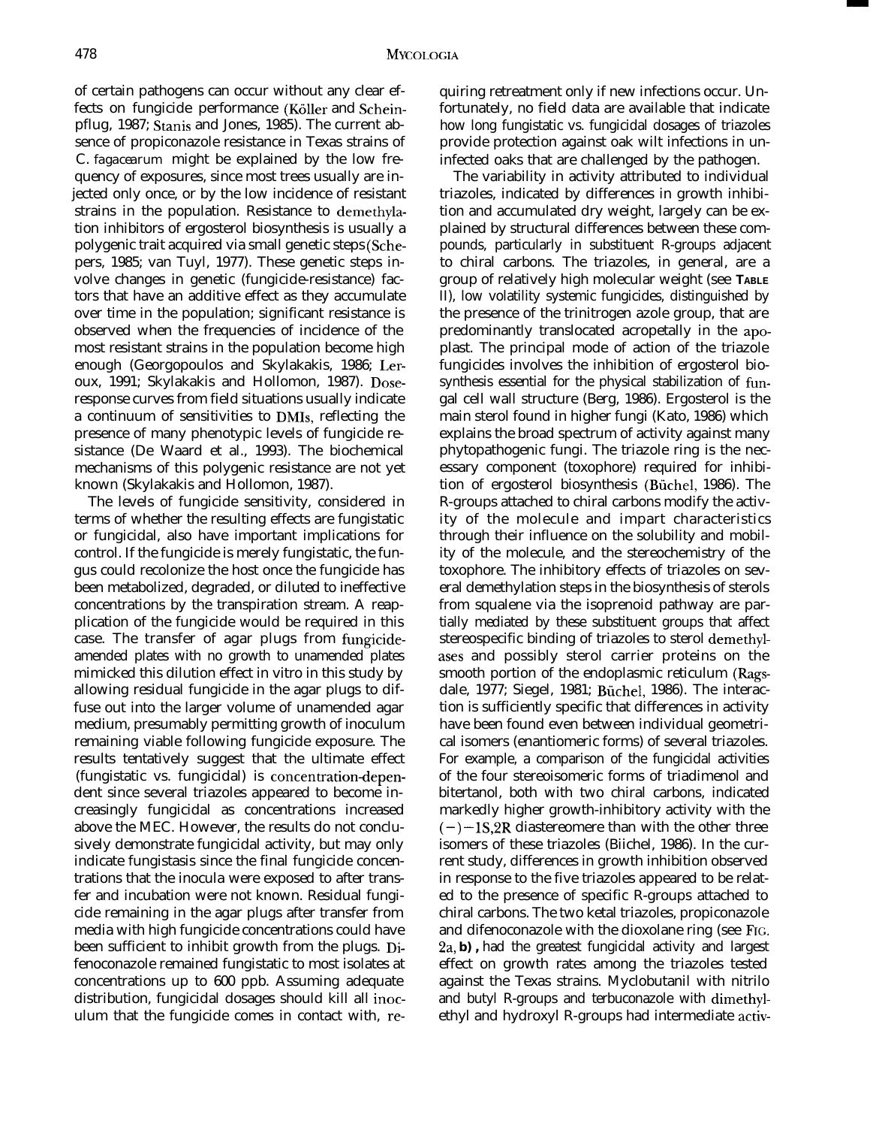of certain pathogens can occur without any clear effects on fungicide performance (Köller and Scheinpflug, 1987; Stanis and Jones, 1985). The current absence of propiconazole resistance in Texas strains of C. *fagacearum* might be explained by the low frequency of exposures, since most trees usually are injected only once, or by the low incidence of resistant strains in the population. Resistance to demethylation inhibitors of ergosterol biosynthesis is usually a polygenic trait acquired via small genetic steps (Schepers, 1985; van Tuyl, 1977). These genetic steps involve changes in genetic (fungicide-resistance) factors that have an additive effect as they accumulate over time in the population; significant resistance is observed when the frequencies of incidence of the most resistant strains in the population become high enough (Georgopoulos and Skylakakis, 1986; Leroux, 1991; Skylakakis and Hollomon, 1987). Doseresponse curves from field situations usually indicate a continuum of sensitivities to DMIs, reflecting the presence of many phenotypic levels of fungicide resistance (De Waard et al., 1993). The biochemical mechanisms of this polygenic resistance are not yet known (Skylakakis and Hollomon, 1987).

The levels of fungicide sensitivity, considered in terms of whether the resulting effects are fungistatic or fungicidal, also have important implications for control. If the fungicide is merely fungistatic, the fungus could recolonize the host once the fungicide has been metabolized, degraded, or diluted to ineffective concentrations by the transpiration stream. A reapplication of the fungicide would be required in this case. The transfer of agar plugs from fungicideamended plates with no growth to unamended plates mimicked this dilution effect in vitro in this study by allowing residual fungicide in the agar plugs to diffuse out into the larger volume of unamended agar medium, presumably permitting growth of inoculum remaining viable following fungicide exposure. The results tentatively suggest that the ultimate effect (fungistatic vs. fungicidal) is concentration-dependent since several triazoles appeared to become increasingly fungicidal as concentrations increased above the MEC. However, the results do not conclusively demonstrate fungicidal activity, but may only indicate fungistasis since the final fungicide concentrations that the inocula were exposed to after transfer and incubation were not known. Residual fungicide remaining in the agar plugs after transfer from media with high fungicide concentrations could have been sufficient to inhibit growth from the plugs. Difenoconazole remained fungistatic to most isolates at concentrations up to 600 ppb. Assuming adequate distribution, fungicidal dosages should kill all inoculum that the fungicide comes in contact with, requiring retreatment only if new infections occur. Unfortunately, no field data are available that indicate how long fungistatic vs. fungicidal dosages of triazoles provide protection against oak wilt infections in uninfected oaks that are challenged by the pathogen.

The variability in activity attributed to individual triazoles, indicated by differences in growth inhibition and accumulated dry weight, largely can be explained by structural differences between these compounds, particularly in substituent R-groups adjacent to chiral carbons. The triazoles, in general, are a group of relatively high molecular weight (see **TABLE** II), low volatility systemic fungicides, distinguished by the presence of the trinitrogen azole group, that are predominantly translocated acropetally in the apoplast. The principal mode of action of the triazole fungicides involves the inhibition of ergosterol biosynthesis essential for the physical stabilization of fungal cell wall structure (Berg, 1986). Ergosterol is the main sterol found in higher fungi (Kato, 1986) which explains the broad spectrum of activity against many phytopathogenic fungi. The triazole ring is the necessary component (toxophore) required for inhibition of ergosterol biosynthesis (Biichel, 1986). The R-groups attached to chiral carbons modify the activity of the molecule and impart characteristics through their influence on the solubility and mobility of the molecule, and the stereochemistry of the toxophore. The inhibitory effects of triazoles on several demethylation steps in the biosynthesis of sterols from squalene via the isoprenoid pathway are partially mediated by these substituent groups that affect stereospecific binding of triazoles to sterol demethylases and possibly sterol carrier proteins on the smooth portion of the endoplasmic reticulum (Ragsdale, 1977; Siegel, 1981; Biichel, 1986). The interaction is sufficiently specific that differences in activity have been found even between individual geometrical isomers (enantiomeric forms) of several triazoles. For example, a comparison of the fungicidal activities of the four stereoisomeric forms of triadimenol and bitertanol, both with two chiral carbons, indicated markedly higher growth-inhibitory activity with the  $(-)$  -1S,2R diastereomere than with the other three isomers of these triazoles (Biichel, 1986). In the current study, differences in growth inhibition observed in response to the five triazoles appeared to be related to the presence of specific R-groups attached to chiral carbons. The two ketal triazoles, propiconazole and difenoconazole with the dioxolane ring (see FIG. 2a, **b) ,** had the greatest fungicidal activity and largest effect on growth rates among the triazoles tested against the Texas strains. Myclobutanil with nitrilo and butyl R-groups and terbuconazole with dimethylethyl and hydroxyl R-groups had intermediate activ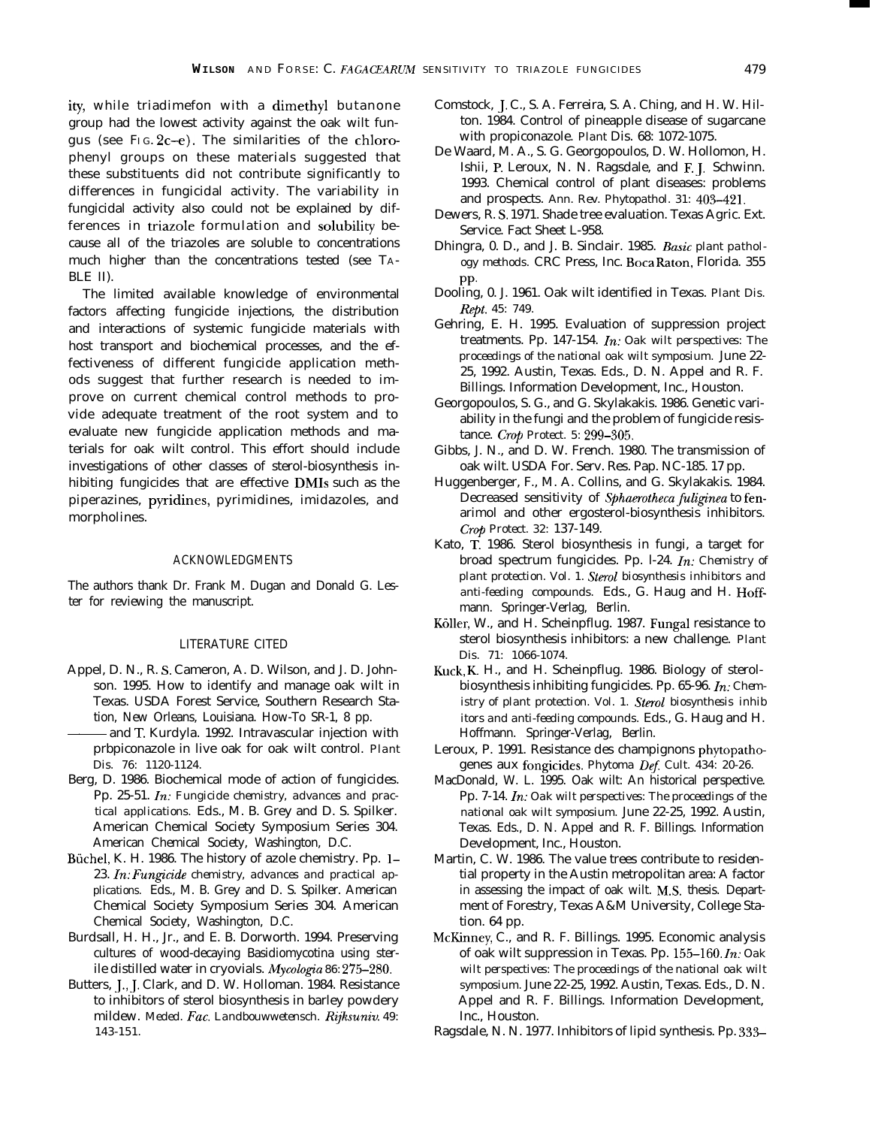ity, while triadimefon with a dimethyl butanone group had the lowest activity against the oak wilt fungus (see FIG.  $2c-e$ ). The similarities of the chlorophenyl groups on these materials suggested that these substituents did not contribute significantly to differences in fungicidal activity. The variability in fungicidal activity also could not be explained by differences in triazole formulation and solubility because all of the triazoles are soluble to concentrations much higher than the concentrations tested (see TA-BLE II).

The limited available knowledge of environmental factors affecting fungicide injections, the distribution and interactions of systemic fungicide materials with host transport and biochemical processes, and the effectiveness of different fungicide application methods suggest that further research is needed to improve on current chemical control methods to provide adequate treatment of the root system and to evaluate new fungicide application methods and materials for oak wilt control. This effort should include investigations of other classes of sterol-biosynthesis inhibiting fungicides that are effective DMIs such as the piperazines, pyridines, pyrimidines, imidazoles, and morpholines.

#### ACKNOWLEDGMENTS

The authors thank Dr. Frank M. Dugan and Donald G. Lester for reviewing the manuscript.

# LITERATURE CITED

- Appel, D. N., R. S. Cameron, A. D. Wilson, and J. D. Johnson. 1995. How to identify and manage oak wilt in Texas. USDA Forest Service, Southern Research Sta-<br>tion, New Orleans, Louisiana. How-To SR-1, 8 pp.<br>and T. Kurdyla. 1992. Intravascular injection with<br>pribniconazole in live oak for oak wilt control. Plant tion, New Orleans, Louisiana. How-To SR-1, 8 pp.
- prbpiconazole in live oak for oak wilt control. *Plant Dis. 76: 1120-1124.*
- Berg, D. 1986. Biochemical mode of action of fungicides. Pp. 25-51. In: *Fungicide chemistry, advances and practical applications.* Eds., M. B. Grey and D. S. Spilker. American Chemical Society Symposium Series 304. American Chemical Society, Washington, D.C.
- Büchel, K. H. 1986. The history of azole chemistry. Pp. 1-23. In: Fungicide chemistry, advances and practical ap*plications.* Eds., M. B. Grey and D. S. Spilker. American Chemical Society Symposium Series 304. American Chemical Society, Washington, D.C.
- Burdsall, H. H., Jr., and E. B. Dorworth. 1994. Preserving cultures of wood-decaying Basidiomycotina using sterile distilled water in cryovials. *Mycologia 86: 275-280.*
- Butters, J., J. Clark, and D. W. Holloman. 1984. Resistance to inhibitors of sterol biosynthesis in barley powdery mildew. *Meded. Fat. Landbouwwetensch. Rrjksuniv. 49: 143-151.*
- Comstock, J. C., S. A. Ferreira, S. A. Ching, and H. W. Hilton. 1984. Control of pineapple disease of sugarcane with propiconazole. *Plant* Dis. 68: 1072-1075.
- De Waard, M. A., S. G. Georgopoulos, D. W. Hollomon, H. Ishii, P. Leroux, N. N. Ragsdale, and F. J. Schwinn. 1993. Chemical control of plant diseases: problems and prospects. *Ann. Rev. Phytopathol. 31: 403-421.*
- Dewers, R. S. 1971. Shade tree evaluation. Texas Agric. Ext. Service. Fact Sheet L-958.
- Dhingra, 0. D., and J. B. Sinclair. 1985. Basic *plant pathology methods.* CRC Press, Inc. Boca Raton, Florida. 355 PP.
- Dooling, 0. J. 1961. Oak wilt identified in Texas. *Plant Dis. Rtpt. 45: 749.*
- Gehring, E. H. 1995. Evaluation of suppression project treatments. Pp. 147-154. In: *Oak wilt perspectives: The proceedings of the national oak wilt symposium.* June 22- 25, 1992. Austin, Texas. Eds., D. N. Appel and R. F. Billings. Information Development, Inc., Houston.
- Georgopoulos, S. G., and G. Skylakakis. 1986. Genetic variability in the fungi and the problem of fungicide resistance. Crop *Protect. 5: 299-305.*
- Gibbs, J. N., and D. W. French. 1980. The transmission of oak wilt. USDA For. Serv. Res. Pap. NC-185. 17 pp.
- Huggenberger, F., M. A. Collins, and G. Skylakakis. 1984. Decreased sensitivity of *Sphaerotheca fuliginea* to fenarimol and other ergosterol-biosynthesis inhibitors. Crop *Protect. 32:* 137-149.
- Kato, T. 1986. Sterol biosynthesis in fungi, a target for broad spectrum fungicides. Pp. l-24. In: *Chemistry of plant protection. Vol. 1. Sterol biosynthesis inhibitors and anti-feeding compounds.* Eds., G. Haug and H. Hoffmann. Springer-Verlag, Berlin.
- Köller, W., and H. Scheinpflug. 1987. Fungal resistance to sterol biosynthesis inhibitors: a new challenge. *Plant Dis. 71: 1066-1074.*
- Kuck, K H., and H. Scheinpflug. 1986. Biology of sterolbiosynthesis inhibiting fungicides. Pp. 65-96. In: *Chemistry of plant protection. Vol. 1. Sterol biosynthesis inhib itors and anti-feeding compounds.* Eds., G. Haug and H. Hoffmann. Springer-Verlag, Berlin.
- Leroux, P. 1991. Resistance des champignons phytopathogenes aux fongicides. *Phytoma Def Cult. 434: 20-26.*
- MacDonald, W. L. 1995. Oak wilt: An historical perspective. Pp. 7-14. In: *Oak wilt perspectives: The proceedings of the national oak wilt symposium.* June 22-25, 1992. Austin, Texas. Eds., D. N. Appel and R. F. Billings. Information Development, Inc., Houston.
- Martin, C. W. 1986. The value trees contribute to residential property in the Austin metropolitan area: A factor in assessing the impact of oak wilt. M.S. thesis. Department of Forestry, Texas A&M University, College Station. 64 pp.
- McKinney, C., and R. F. Billings. 1995. Economic analysis of oak wilt suppression in Texas. Pp. 155-160. In: *Oak wilt perspectives: The proceedings of the national oak wilt symposium.* June 22-25, 1992. Austin, Texas. Eds., D. N. Appel and R. F. Billings. Information Development, Inc., Houston.
- Ragsdale, N. N. 1977. Inhibitors of lipid synthesis. Pp. 333-